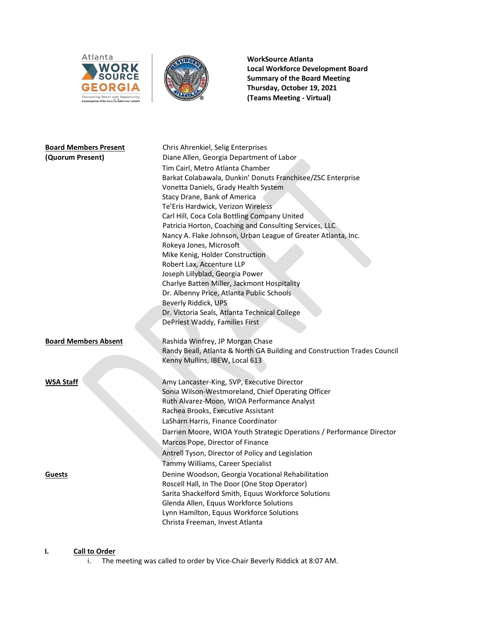



**WorkSource Atlanta Local Workforce Development Board Summary of the Board Meeting Thursday, October 19, 2021 (Teams Meeting - Virtual)**

| <b>Board Members Present</b> | Chris Ahrenkiel, Selig Enterprises                                       |
|------------------------------|--------------------------------------------------------------------------|
| (Quorum Present)             | Diane Allen, Georgia Department of Labor                                 |
|                              | Tim Cairl, Metro Atlanta Chamber                                         |
|                              | Barkat Colabawala, Dunkin' Donuts Franchisee/ZSC Enterprise              |
|                              | Vonetta Daniels, Grady Health System                                     |
|                              | Stacy Drane, Bank of America                                             |
|                              | Te'Eris Hardwick, Verizon Wireless                                       |
|                              | Carl Hill, Coca Cola Bottling Company United                             |
|                              | Patricia Horton, Coaching and Consulting Services, LLC                   |
|                              | Nancy A. Flake Johnson, Urban League of Greater Atlanta, Inc.            |
|                              | Rokeya Jones, Microsoft                                                  |
|                              | Mike Kenig, Holder Construction                                          |
|                              | Robert Lax, Accenture LLP                                                |
|                              | Joseph Lillyblad, Georgia Power                                          |
|                              | Charlye Batten Miller, Jackmont Hospitality                              |
|                              | Dr. Albenny Price, Atlanta Public Schools                                |
|                              | Beverly Riddick, UPS                                                     |
|                              | Dr. Victoria Seals, Atlanta Technical College                            |
|                              | DePriest Waddy, Families First                                           |
|                              |                                                                          |
| <b>Board Members Absent</b>  | Rashida Winfrey, JP Morgan Chase                                         |
|                              | Randy Beall, Atlanta & North GA Building and Construction Trades Council |
|                              | Kenny Mullins, IBEW, Local 613                                           |
| <b>WSA Staff</b>             | Amy Lancaster-King, SVP, Executive Director                              |
|                              | Sonia Wilson-Westmoreland, Chief Operating Officer                       |
|                              | Ruth Alvarez-Moon, WIOA Performance Analyst                              |
|                              | Rachea Brooks, Executive Assistant                                       |
|                              | LaSharn Harris, Finance Coordinator                                      |
|                              | Darrien Moore, WIOA Youth Strategic Operations / Performance Director    |
|                              |                                                                          |
|                              | Marcos Pope, Director of Finance                                         |
|                              | Antrell Tyson, Director of Policy and Legislation                        |
|                              | Tammy Williams, Career Specialist                                        |
| <b>Guests</b>                | Denine Woodson, Georgia Vocational Rehabilitation                        |
|                              | Roscell Hall, In The Door (One Stop Operator)                            |
|                              | Sarita Shackelford Smith, Equus Workforce Solutions                      |
|                              | Glenda Allen, Equus Workforce Solutions                                  |
|                              | Lynn Hamilton, Equus Workforce Solutions                                 |
|                              | Christa Freeman, Invest Atlanta                                          |

# **I. Call to Order**

i. The meeting was called to order by Vice-Chair Beverly Riddick at 8:07 AM.